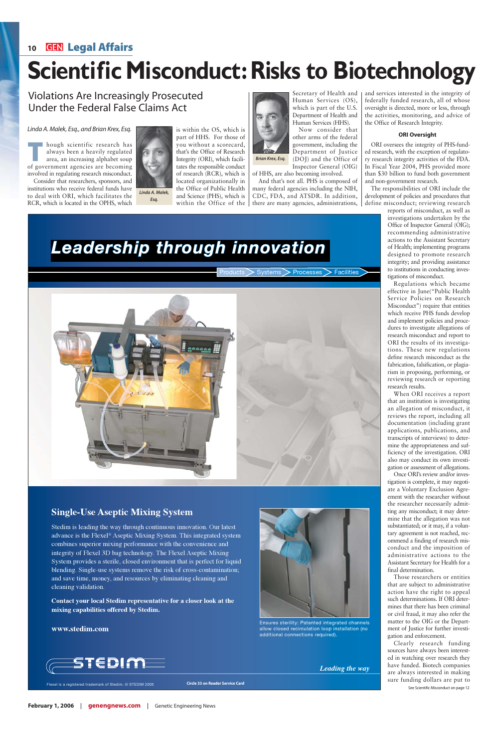#### Linda A. Malek, Esq., and Brian Krex, Esq.

hough scientific research has always been a heavily regulated area, an increasing alphabet soup of government agencies are becoming involved in regulating research misconduct.

Consider that researchers, sponsors, and institutions who receive federal funds have to deal with ORI, which facilitates the RCR, which is located in the OPHS, which

you without a scorecard, that's the Office of Research Integrity (ORI), which facilitates the responsible conduct of research (RCR), which is located organizationally in the Office of Public Health and Science (PHS), which is within the Office of the

Secretary of Health and Human Services (OS), which is part of the U.S. Department of Health and Human Services (HHS).

Now consider that other arms of the federal government, including the Department of Justice (DOJ) and the Office of Inspector General (OIG)

of HHS, are also becoming involved.

And that's not all. PHS is composed of many federal agencies including the NIH, CDC, FDA, and ATSDR. In addition, there are many agencies, administrations, and services interested in the integrity of federally funded research, all of whose oversight is directed, more or less, through the activities, monitoring, and advice of the Office of Research Integrity.

#### **ORI Oversight**

ORI oversees the integrity of PHS-funded research, with the exception of regulatory research integrity activities of the FDA. In Fiscal Year 2004, PHS provided more than \$30 billion to fund both government and non-government research.

The responsibilities of ORI include the development of policies and procedures that define misconduct; reviewing research

> reports of misconduct, as well as investigations undertaken by the Office of Inspector General (OIG); recommending administrative actions to the Assistant Secretary of Health; implementing programs designed to promote research integrity; and providing assistance to institutions in conducting investigations of misconduct.

> Regulations which became effective in June("Public Health Service Policies on Research Misconduct") require that entities which receive PHS funds develop and implement policies and procedures to investigate allegations of research misconduct and report to ORI the results of its investigations. These new regulations define research misconduct as the fabrication, falsification, or plagiarism in proposing, performing, or reviewing research or reporting research results.

> When ORI receives a report that an institution is investigating an allegation of misconduct, it reviews the report, including all documentation (including grant applications, publications, and transcripts of interviews) to determine the appropriateness and sufficiency of the investigation. ORI also may conduct its own investigation or assessment of allegations.



Ensures sterility: Patented integrated channels allow closed recirculation loop installation (no additional connections required).

Once ORI's review and/or investigation is complete, it may negotiate a Voluntary Exclusion Agreement with the researcher without the researcher necessarily admitting any misconduct; it may determine that the allegation was not substantiated; or it may, if a voluntary agreement is not reached, recommend a finding of research misconduct and the imposition of administrative actions to the Assistant Secretary for Health for a final determination. Those researchers or entities that are subject to administrative action have the right to appeal such determinations. If ORI determines that there has been criminal or civil fraud, it may also refer the matter to the OIG or the Department of Justice for further investigation and enforcement. Clearly research funding sources have always been interested in watching over research they have funded. Biotech companies are always interested in making Flexel is a registered trademark of Stedim. © STEDIM 2005 **Circle 33 on Reader Service Card Flexel is a registered trademark of Stedim.** © STEDIM 2005 **Circle 33 on Reader Service Card** See Scientific Misconduct on page 12

# *Leadership through innovation*

Products > Systems > Processes > Facilities



### **Single-Use Aseptic Mixing System**

Stedim is leading the way through continuous innovation. Our latest advance is the Flexel® Aseptic Mixing System. This integrated system combines superior mixing performance with the convenience and



integrity of Flexel 3D bag technology. The Flexel Aseptic Mixing System provides a sterile, closed environment that is perfect for liquid blending. Single-use systems remove the risk of cross-contamination; and save time, money, and resources by eliminating cleaning and cleaning validation.

**Contact your local Stedim representative for a closer look at the mixing capabilities offered by Stedim.**

#### **www.stedim.com**



*Leading the way*

**February 1, 2006 genengnews.com** Genetic Engineering News

**Circle 33 on Reader Service Card**

## **<sup>10</sup> Legal Affairs**

# **Scientific Misconduct: Risks to Biotechnology**

Violations Are Increasingly Prosecuted Under the Federal False Claims Act



**Esq.**